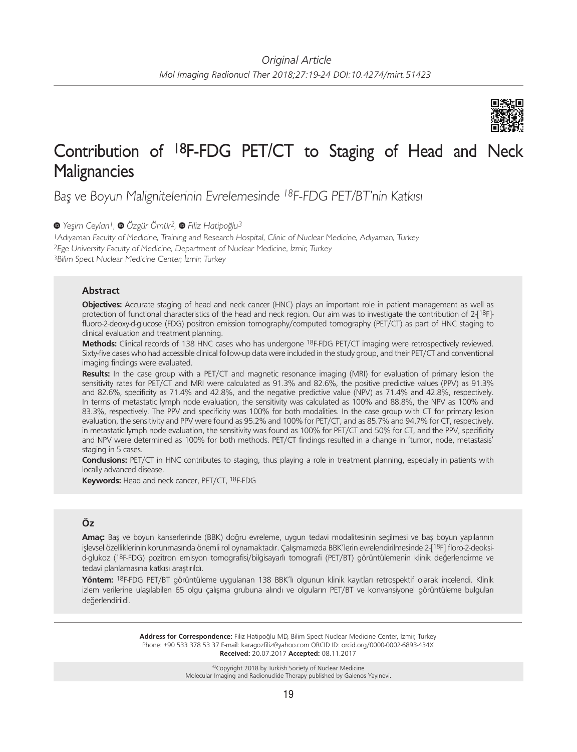

# Contribution of 18F-FDG PET/CT to Staging of Head and Neck **Malignancies**

Baş ve Boyun Malignitelerinin Evrelemesinde <sup>18</sup>F-FDG PET/BT'nin Katkısı

*Yeşim Ceylan1,Özgür Ömür2,Filiz Hatipoğlu3*

<sup>1</sup>Adıyaman Faculty of Medicine, Training and Research Hospital, Clinic of Nuclear Medicine, Adıyaman, Turkey <sup>2</sup>Ege University Faculty of Medicine, Department of Nuclear Medicine, İzmir, Turkey <sup>3</sup>Bilim Spect Nuclear Medicine Center, İzmir, Turkey

### **Abstract**

**Objectives:** Accurate staging of head and neck cancer (HNC) plays an important role in patient management as well as protection of functional characteristics of the head and neck region. Our aim was to investigate the contribution of 2-[18F]fluoro-2-deoxy-d-glucose (FDG) positron emission tomography/computed tomography (PET/CT) as part of HNC staging to clinical evaluation and treatment planning.

**Methods:** Clinical records of 138 HNC cases who has undergone 18F-FDG PET/CT imaging were retrospectively reviewed. Sixty-five cases who had accessible clinical follow-up data were included in the study group, and their PET/CT and conventional imaging findings were evaluated.

**Results:** In the case group with a PET/CT and magnetic resonance imaging (MRI) for evaluation of primary lesion the sensitivity rates for PET/CT and MRI were calculated as 91.3% and 82.6%, the positive predictive values (PPV) as 91.3% and 82.6%, specificity as 71.4% and 42.8%, and the negative predictive value (NPV) as 71.4% and 42.8%, respectively. In terms of metastatic lymph node evaluation, the sensitivity was calculated as 100% and 88.8%, the NPV as 100% and 83.3%, respectively. The PPV and specificity was 100% for both modalities. In the case group with CT for primary lesion evaluation, the sensitivity and PPV were found as 95.2% and 100% for PET/CT, and as 85.7% and 94.7% for CT, respectively. in metastatic lymph node evaluation, the sensitivity was found as 100% for PET/CT and 50% for CT, and the PPV, specificity and NPV were determined as 100% for both methods. PET/CT findings resulted in a change in 'tumor, node, metastasis' staging in 5 cases.

**Conclusions:** PET/CT in HNC contributes to staging, thus playing a role in treatment planning, especially in patients with locally advanced disease.

**Keywords:** Head and neck cancer, PET/CT, 18F-FDG

# **Öz**

**Amaç:** Baş ve boyun kanserlerinde (BBK) doğru evreleme, uygun tedavi modalitesinin seçilmesi ve baş boyun yapılarının işlevsel özelliklerinin korunmasında önemli rol oynamaktadır. Çalışmamızda BBK'lerin evrelendirilmesinde 2-[18F] floro-2-deoksid-glukoz (18F-FDG) pozitron emisyon tomografisi/bilgisayarlı tomografi (PET/BT) görüntülemenin klinik değerlendirme ve tedavi planlamasına katkısı araştırıldı.

**Yöntem:** 18F-FDG PET/BT görüntüleme uygulanan 138 BBK'lı olgunun klinik kayıtları retrospektif olarak incelendi. Klinik izlem verilerine ulaşılabilen 65 olgu çalışma grubuna alındı ve olguların PET/BT ve konvansiyonel görüntüleme bulguları değerlendirildi.

> **Address for Correspondence:** Filiz Hatipoğlu MD, Bilim Spect Nuclear Medicine Center, İzmir, Turkey Phone: +90 533 378 53 37 E-mail: karagozfiliz@yahoo.com ORCID ID: orcid.org/0000-0002-6893-434X **Received:** 20.07.2017 **Accepted:** 08.11.2017

> > ©Copyright 2018 by Turkish Society of Nuclear Medicine Molecular Imaging and Radionuclide Therapy published by Galenos Yayınevi.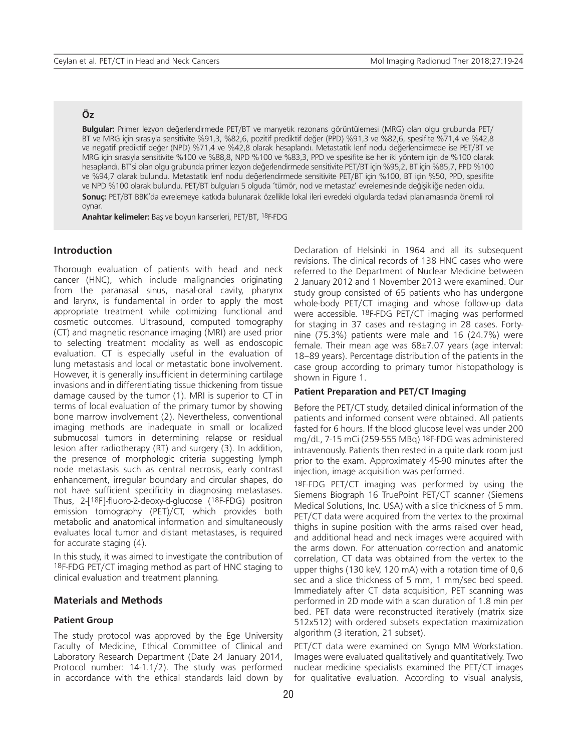# **Öz**

**Bulgular:** Primer lezyon değerlendirmede PET/BT ve manyetik rezonans görüntülemesi (MRG) olan olgu grubunda PET/ BT ve MRG için sırasıyla sensitivite %91,3, %82,6, pozitif prediktif değer (PPD) %91,3 ve %82,6, spesifite %71,4 ve %42,8 ve negatif prediktif değer (NPD) %71,4 ve %42,8 olarak hesaplandı. Metastatik lenf nodu değerlendirmede ise PET/BT ve MRG için sırasıyla sensitivite %100 ve %88,8, NPD %100 ve %83,3, PPD ve spesifite ise her iki yöntem için de %100 olarak hesaplandı. BT'si olan olgu grubunda primer lezyon değerlendirmede sensitivite PET/BT için %95,2, BT için %85,7, PPD %100 ve %94,7 olarak bulundu. Metastatik lenf nodu değerlendirmede sensitivite PET/BT için %100, BT için %50, PPD, spesifite ve NPD %100 olarak bulundu. PET/BT bulguları 5 olguda 'tümör, nod ve metastaz' evrelemesinde değişikliğe neden oldu. **Sonuç:** PET/BT BBK'da evrelemeye katkıda bulunarak özellikle lokal ileri evredeki olgularda tedavi planlamasında önemli rol oynar.

**Anahtar kelimeler:** Baş ve boyun kanserleri, PET/BT, 18F-FDG

# **Introduction**

Thorough evaluation of patients with head and neck cancer (HNC), which include malignancies originating from the paranasal sinus, nasal-oral cavity, pharynx and larynx, is fundamental in order to apply the most appropriate treatment while optimizing functional and cosmetic outcomes. Ultrasound, computed tomography (CT) and magnetic resonance imaging (MRI) are used prior to selecting treatment modality as well as endoscopic evaluation. CT is especially useful in the evaluation of lung metastasis and local or metastatic bone involvement. However, it is generally insufficient in determining cartilage invasions and in differentiating tissue thickening from tissue damage caused by the tumor (1). MRI is superior to CT in terms of local evaluation of the primary tumor by showing bone marrow involvement (2). Nevertheless, conventional imaging methods are inadequate in small or localized submucosal tumors in determining relapse or residual lesion after radiotherapy (RT) and surgery (3). In addition, the presence of morphologic criteria suggesting lymph node metastasis such as central necrosis, early contrast enhancement, irregular boundary and circular shapes, do not have sufficient specificity in diagnosing metastases. Thus, 2-[18F]-fluoro-2-deoxy-d-glucose (18F-FDG) positron emission tomography (PET)/CT, which provides both metabolic and anatomical information and simultaneously evaluates local tumor and distant metastases, is required for accurate staging (4).

In this study, it was aimed to investigate the contribution of 18F-FDG PET/CT imaging method as part of HNC staging to clinical evaluation and treatment planning.

# **Materials and Methods**

#### **Patient Group**

The study protocol was approved by the Ege University Faculty of Medicine, Ethical Committee of Clinical and Laboratory Research Department (Date 24 January 2014, Protocol number: 14-1.1/2). The study was performed in accordance with the ethical standards laid down by Declaration of Helsinki in 1964 and all its subsequent revisions. The clinical records of 138 HNC cases who were referred to the Department of Nuclear Medicine between 2 January 2012 and 1 November 2013 were examined. Our study group consisted of 65 patients who has undergone whole-body PET/CT imaging and whose follow-up data were accessible. 18F-FDG PET/CT imaging was performed for staging in 37 cases and re-staging in 28 cases. Fortynine (75.3%) patients were male and 16 (24.7%) were female. Their mean age was 68±7.07 years (age interval: 18–89 years). Percentage distribution of the patients in the case group according to primary tumor histopathology is shown in Figure 1.

### **Patient Preparation and PET/CT Imaging**

Before the PET/CT study, detailed clinical information of the patients and informed consent were obtained. All patients fasted for 6 hours. If the blood glucose level was under 200 mg/dL, 7-15 mCi (259-555 MBq) 18F-FDG was administered intravenously. Patients then rested in a quite dark room just prior to the exam. Approximately 45-90 minutes after the injection, image acquisition was performed.

18F-FDG PET/CT imaging was performed by using the Siemens Biograph 16 TruePoint PET/CT scanner (Siemens Medical Solutions, Inc. USA) with a slice thickness of 5 mm. PET/CT data were acquired from the vertex to the proximal thighs in supine position with the arms raised over head, and additional head and neck images were acquired with the arms down. For attenuation correction and anatomic correlation, CT data was obtained from the vertex to the upper thighs (130 keV, 120 mA) with a rotation time of 0,6 sec and a slice thickness of 5 mm, 1 mm/sec bed speed. Immediately after CT data acquisition, PET scanning was performed in 2D mode with a scan duration of 1.8 min per bed. PET data were reconstructed iteratively (matrix size 512x512) with ordered subsets expectation maximization algorithm (3 iteration, 21 subset).

PET/CT data were examined on Syngo MM Workstation. Images were evaluated qualitatively and quantitatively. Two nuclear medicine specialists examined the PET/CT images for qualitative evaluation. According to visual analysis,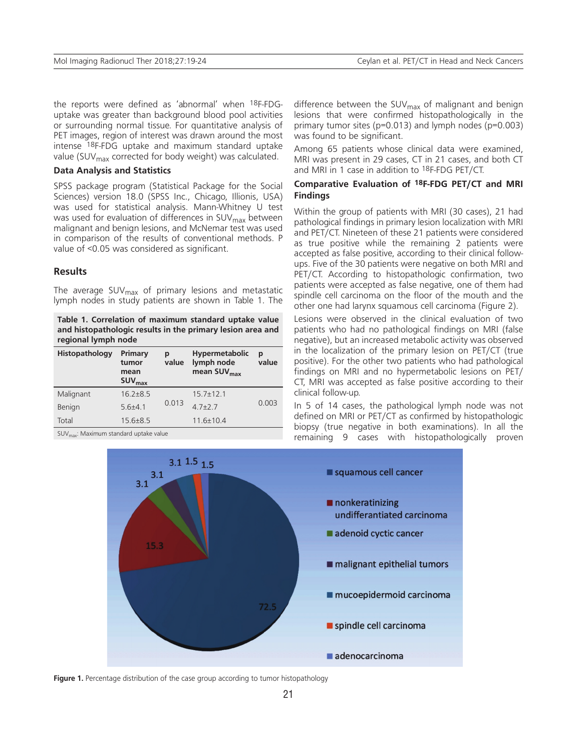the reports were defined as 'abnormal' when 18F-FDGuptake was greater than background blood pool activities or surrounding normal tissue. For quantitative analysis of PET images, region of interest was drawn around the most intense 18F-FDG uptake and maximum standard uptake value (SUV $_{\text{max}}$  corrected for body weight) was calculated.

## **Data Analysis and Statistics**

SPSS package program (Statistical Package for the Social Sciences) version 18.0 (SPSS Inc., Chicago, Illionis, USA) was used for statistical analysis. Mann-Whitney U test was used for evaluation of differences in  $\text{SUV}_{\text{max}}$  between malignant and benign lesions, and McNemar test was used in comparison of the results of conventional methods. P value of <0.05 was considered as significant.

# **Results**

The average SUV $_{\sf max}$  of primary lesions and metastatic lymph nodes in study patients are shown in Table 1. The

**Table 1. Correlation of maximum standard uptake value and histopathologic results in the primary lesion area and regional lymph node**

| Histopathology | Primary<br>tumor<br>mean<br><b>SUV</b> <sub>max</sub> | р<br>value | Hypermetabolic<br>lymph node<br>mean $SUVmax$ | p<br>value |  |
|----------------|-------------------------------------------------------|------------|-----------------------------------------------|------------|--|
| Malignant      | $16.2 \pm 8.5$                                        |            | $15.7 \pm 12.1$                               | 0.003      |  |
| Benign         | $5.6{\pm}4.1$                                         | 0.013      | $47+27$                                       |            |  |
| Total          | $15.6 \pm 8.5$                                        |            | $11.6 \pm 10.4$                               |            |  |

 $SUV_{\text{max}}$ : Maximum standard uptake value

difference between the SUV<sub>max</sub> of malignant and benign lesions that were confirmed histopathologically in the primary tumor sites (p=0.013) and lymph nodes (p=0.003) was found to be significant.

Among 65 patients whose clinical data were examined, MRI was present in 29 cases, CT in 21 cases, and both CT and MRI in 1 case in addition to 18F-FDG PET/CT.

## **Comparative Evaluation of 18F-FDG PET/CT and MRI Findings**

Within the group of patients with MRI (30 cases), 21 had pathological findings in primary lesion localization with MRI and PET/CT. Nineteen of these 21 patients were considered as true positive while the remaining 2 patients were accepted as false positive, according to their clinical followups. Five of the 30 patients were negative on both MRI and PET/CT. According to histopathologic confirmation, two patients were accepted as false negative, one of them had spindle cell carcinoma on the floor of the mouth and the other one had larynx squamous cell carcinoma (Figure 2).

Lesions were observed in the clinical evaluation of two patients who had no pathological findings on MRI (false negative), but an increased metabolic activity was observed in the localization of the primary lesion on PET/CT (true positive). For the other two patients who had pathological findings on MRI and no hypermetabolic lesions on PET/ CT, MRI was accepted as false positive according to their clinical follow-up.

In 5 of 14 cases, the pathological lymph node was not defined on MRI or PET/CT as confirmed by histopathologic biopsy (true negative in both examinations). In all the remaining 9 cases with histopathologically proven



Figure 1. Percentage distribution of the case group according to tumor histopathology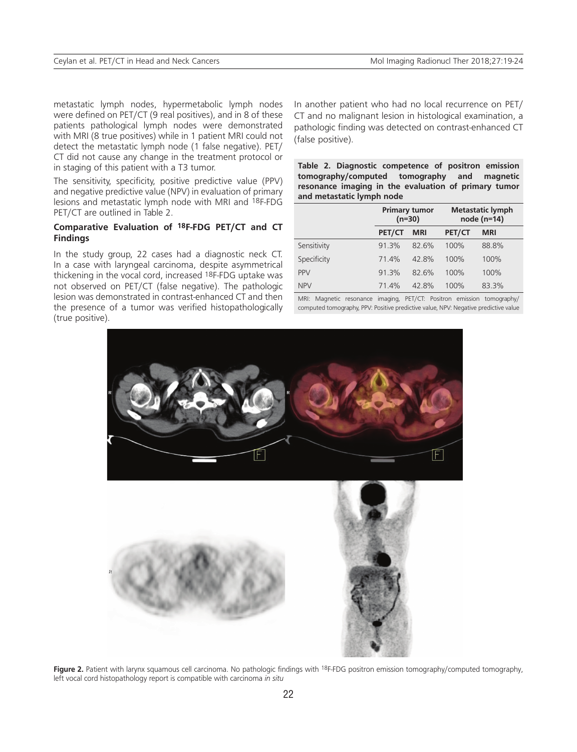metastatic lymph nodes, hypermetabolic lymph nodes were defined on PET/CT (9 real positives), and in 8 of these patients pathological lymph nodes were demonstrated with MRI (8 true positives) while in 1 patient MRI could not detect the metastatic lymph node (1 false negative). PET/ CT did not cause any change in the treatment protocol or in staging of this patient with a T3 tumor.

The sensitivity, specificity, positive predictive value (PPV) and negative predictive value (NPV) in evaluation of primary lesions and metastatic lymph node with MRI and 18F-FDG PET/CT are outlined in Table 2.

# **Comparative Evaluation of 18F-FDG PET/CT and CT Findings**

In the study group, 22 cases had a diagnostic neck CT. In a case with laryngeal carcinoma, despite asymmetrical thickening in the vocal cord, increased 18F-FDG uptake was not observed on PET/CT (false negative). The pathologic lesion was demonstrated in contrast-enhanced CT and then the presence of a tumor was verified histopathologically (true positive).

In another patient who had no local recurrence on PET/ CT and no malignant lesion in histological examination, a pathologic finding was detected on contrast-enhanced CT (false positive).

|                           |  | Table 2. Diagnostic competence of positron emission  |  |  |  |  |
|---------------------------|--|------------------------------------------------------|--|--|--|--|
|                           |  | tomography/computed tomography and magnetic          |  |  |  |  |
|                           |  | resonance imaging in the evaluation of primary tumor |  |  |  |  |
| and metastatic lymph node |  |                                                      |  |  |  |  |

|             | <b>Primary tumor</b><br>$(n=30)$ |            | <b>Metastatic lymph</b><br>node (n=14) |            |
|-------------|----------------------------------|------------|----------------------------------------|------------|
|             | PET/CT                           | <b>MRI</b> | PET/CT                                 | <b>MRI</b> |
| Sensitivity | 91.3%                            | 82.6%      | 100%                                   | 88.8%      |
| Specificity | 714%                             | 42.8%      | 100%                                   | 100%       |
| <b>PPV</b>  | 91.3%                            | 82.6%      | 100%                                   | 100%       |
| <b>NPV</b>  | 714%                             | 42.8%      | 100%                                   | 83.3%      |

MRI: Magnetic resonance imaging, PET/CT: Positron emission tomography/ computed tomography, PPV: Positive predictive value, NPV: Negative predictive value



**Figure 2.** Patient with larynx squamous cell carcinoma. No pathologic findings with <sup>18</sup>F-FDG positron emission tomography/computed tomography, left vocal cord histopathology report is compatible with carcinoma *in situ*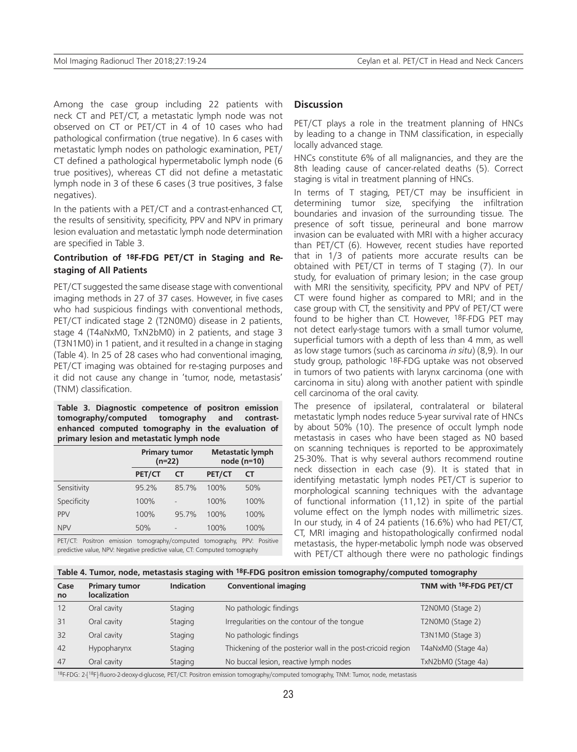Among the case group including 22 patients with neck CT and PET/CT, a metastatic lymph node was not observed on CT or PET/CT in 4 of 10 cases who had pathological confirmation (true negative). In 6 cases with metastatic lymph nodes on pathologic examination, PET/ CT defined a pathological hypermetabolic lymph node (6 true positives), whereas CT did not define a metastatic lymph node in 3 of these 6 cases (3 true positives, 3 false negatives).

In the patients with a PET/CT and a contrast-enhanced CT, the results of sensitivity, specificity, PPV and NPV in primary lesion evaluation and metastatic lymph node determination are specified in Table 3.

## **Contribution of 18F-FDG PET/CT in Staging and Restaging of All Patients**

PET/CT suggested the same disease stage with conventional imaging methods in 27 of 37 cases. However, in five cases who had suspicious findings with conventional methods, PET/CT indicated stage 2 (T2N0M0) disease in 2 patients, stage 4 (T4aNxM0, TxN2bM0) in 2 patients, and stage 3 (T3N1M0) in 1 patient, and it resulted in a change in staging (Table 4). In 25 of 28 cases who had conventional imaging, PET/CT imaging was obtained for re-staging purposes and it did not cause any change in 'tumor, node, metastasis' (TNM) classification.

**Table 3. Diagnostic competence of positron emission tomography/computed tomography and contrastenhanced computed tomography in the evaluation of primary lesion and metastatic lymph node**

|             | <b>Primary tumor</b><br>$(n=22)$ |           | <b>Metastatic lymph</b><br>node (n=10) |      |
|-------------|----------------------------------|-----------|----------------------------------------|------|
|             | PET/CT                           | <b>CT</b> | PET/CT                                 | СT   |
| Sensitivity | 95.2%                            | 85.7%     | 100%                                   | 50%  |
| Specificity | 100%                             |           | 100%                                   | 100% |
| <b>PPV</b>  | 100%                             | 95.7%     | 100%                                   | 100% |
| <b>NPV</b>  | 50%                              |           | 100%                                   | 100% |

PET/CT: Positron emission tomography/computed tomography, PPV: Positive predictive value, NPV: Negative predictive value, CT: Computed tomography

## **Discussion**

PET/CT plays a role in the treatment planning of HNCs by leading to a change in TNM classification, in especially locally advanced stage.

HNCs constitute 6% of all malignancies, and they are the 8th leading cause of cancer-related deaths (5). Correct staging is vital in treatment planning of HNCs.

In terms of T staging, PET/CT may be insufficient in determining tumor size, specifying the infiltration boundaries and invasion of the surrounding tissue. The presence of soft tissue, perineural and bone marrow invasion can be evaluated with MRI with a higher accuracy than PET/CT (6). However, recent studies have reported that in 1/3 of patients more accurate results can be obtained with PET/CT in terms of T staging (7). In our study, for evaluation of primary lesion; in the case group with MRI the sensitivity, specificity, PPV and NPV of PET/ CT were found higher as compared to MRI; and in the case group with CT, the sensitivity and PPV of PET/CT were found to be higher than CT. However, 18F-FDG PET may not detect early-stage tumors with a small tumor volume, superficial tumors with a depth of less than 4 mm, as well as low stage tumors (such as carcinoma *in situ*) (8,9). In our study group, pathologic 18F-FDG uptake was not observed in tumors of two patients with larynx carcinoma (one with carcinoma in situ) along with another patient with spindle cell carcinoma of the oral cavity.

The presence of ipsilateral, contralateral or bilateral metastatic lymph nodes reduce 5-year survival rate of HNCs by about 50% (10). The presence of occult lymph node metastasis in cases who have been staged as N0 based on scanning techniques is reported to be approximately 25-30%. That is why several authors recommend routine neck dissection in each case (9). It is stated that in identifying metastatic lymph nodes PET/CT is superior to morphological scanning techniques with the advantage of functional information (11,12) in spite of the partial volume effect on the lymph nodes with millimetric sizes. In our study, in 4 of 24 patients (16.6%) who had PET/CT, CT, MRI imaging and histopathologically confirmed nodal metastasis, the hyper-metabolic lymph node was observed with PET/CT although there were no pathologic findings

#### **Table 4. Tumor, node, metastasis staging with 18F-FDG positron emission tomography/computed tomography**

| Case<br><b>no</b> | <b>Primary tumor</b><br><b>localization</b> | <b>Indication</b> | <b>Conventional imaging</b>                                 | TNM with <sup>18</sup> F-FDG PET/CT |
|-------------------|---------------------------------------------|-------------------|-------------------------------------------------------------|-------------------------------------|
| 12                | Oral cavity                                 | Staging           | No pathologic findings                                      | T2N0M0 (Stage 2)                    |
| 31                | Oral cavity                                 | Staging           | Irregularities on the contour of the tongue                 | T2N0M0 (Stage 2)                    |
| 32                | Oral cavity                                 | Staging           | No pathologic findings                                      | T3N1M0 (Stage 3)                    |
| 42                | Hypopharynx                                 | Staging           | Thickening of the posterior wall in the post-cricoid region | T4aNxM0 (Stage 4a)                  |
| 47                | Oral cavity                                 | Staging           | No buccal lesion, reactive lymph nodes                      | TxN2bM0 (Stage 4a)                  |

18F-FDG: 2-[18F]-fluoro-2-deoxy-d-glucose, PET/CT: Positron emission tomography/computed tomography, TNM: Tumor, node, metastasis